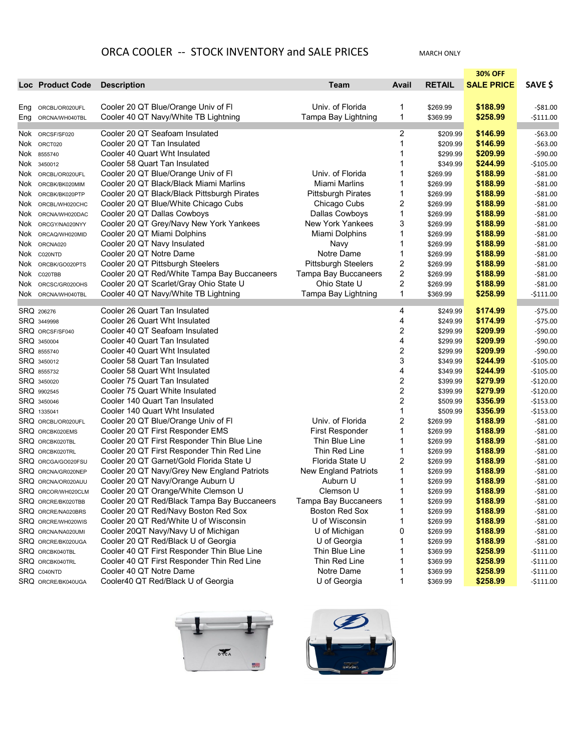## ORCA COOLER -- STOCK INVENTORY and SALE PRICES MARCH ONLY

|     |                           |                                             |                             |                         |               | <b>30% OFF</b>    |             |
|-----|---------------------------|---------------------------------------------|-----------------------------|-------------------------|---------------|-------------------|-------------|
|     | <b>Loc Product Code</b>   | <b>Description</b>                          | Team                        | Avail                   | <b>RETAIL</b> | <b>SALE PRICE</b> | SAVE \$     |
|     |                           |                                             |                             |                         |               |                   |             |
|     | Eng ORCBL/OR020UFL        | Cooler 20 QT Blue/Orange Univ of FI         | Univ. of Florida            | 1                       | \$269.99      | \$188.99          | $-$ \$81.00 |
|     | Eng ORCNA/WH040TBL        | Cooler 40 QT Navy/White TB Lightning        | Tampa Bay Lightning         | 1                       | \$369.99      | \$258.99          | $-5111.00$  |
|     | Nok ORCSF/SF020           | Cooler 20 QT Seafoam Insulated              |                             | 2                       | \$209.99      | \$146.99          | $-$63.00$   |
|     | Nok ORCT020               | Cooler 20 QT Tan Insulated                  |                             | 1                       | \$209.99      | \$146.99          | $-$63.00$   |
|     | Nok 8555740               | Cooler 40 Quart Wht Insulated               |                             | 1                       | \$299.99      | \$209.99          | $-$90.00$   |
|     | Nok 3450012               | Cooler 58 Quart Tan Insulated               |                             | 1                       | \$349.99      | \$244.99          | -\$105.00   |
|     | Nok ORCBL/OR020UFL        | Cooler 20 QT Blue/Orange Univ of FI         | Univ. of Florida            | 1                       | \$269.99      | \$188.99          | $-$ \$81.00 |
|     | Nok ORCBK/BK020MIM        | Cooler 20 QT Black/Black Miami Marlins      | Miami Marlins               | 1                       | \$269.99      | \$188.99          | $-$ \$81.00 |
|     | Nok ORCBK/BK020PTP        | Cooler 20 QT Black/Black Pittsburgh Pirates | <b>Pittsburgh Pirates</b>   | 1                       | \$269.99      | \$188.99          | $-581.00$   |
|     | Nok ORCBL/WH020CHC        | Cooler 20 QT Blue/White Chicago Cubs        | Chicago Cubs                | 2                       | \$269.99      | \$188.99          | $-$ \$81.00 |
|     | Nok ORCNA/WH020DAC        | Cooler 20 QT Dallas Cowboys                 | Dallas Cowboys              | 1                       | \$269.99      | \$188.99          | $-581.00$   |
| Nok | ORCGY/NA020NYY            | Cooler 20 QT Grey/Navy New York Yankees     | New York Yankees            | 3                       | \$269.99      | \$188.99          | $-$ \$81.00 |
|     | Nok ORCAQ/WH020MID        | Cooler 20 QT Miami Dolphins                 | Miami Dolphins              | 1                       | \$269.99      | \$188.99          | $-581.00$   |
|     | Nok Orcna020              | Cooler 20 QT Navy Insulated                 | Navy                        | 1                       | \$269.99      | \$188.99          | -\$81.00    |
|     | Nok co20NTD               | Cooler 20 QT Notre Dame                     | Notre Dame                  | 1                       | \$269.99      | \$188.99          | $-581.00$   |
|     | Nok ORCBK/GO020PTS        | Cooler 20 QT Pittsburgh Steelers            | <b>Pittsburgh Steelers</b>  | 2                       | \$269.99      | \$188.99          | $-$ \$81.00 |
|     | Nok C020TBB               | Cooler 20 QT Red/White Tampa Bay Buccaneers | <b>Tampa Bay Buccaneers</b> | 2                       | \$269.99      | \$188.99          | $-581.00$   |
|     | Nok ORCSC/GR020OHS        | Cooler 20 QT Scarlet/Gray Ohio State U      | Ohio State U                | 2                       | \$269.99      | \$188.99          | $-581.00$   |
|     | Nok orcna/wh040tbl        | Cooler 40 QT Navy/White TB Lightning        | Tampa Bay Lightning         | 1                       | \$369.99      | \$258.99          | $-5111.00$  |
|     | SRQ 206276                | Cooler 26 Quart Tan Insulated               |                             | 4                       | \$249.99      | \$174.99          | $-575.00$   |
|     | SRQ 3449998               | Cooler 26 Quart Wht Insulated               |                             | 4                       | \$249.99      | \$174.99          | $-575.00$   |
|     | <b>SRQ ORCSF/SF040</b>    | Cooler 40 QT Seafoam Insulated              |                             | 2                       | \$299.99      | \$209.99          | $-$ \$90.00 |
|     | SRQ 3450004               | Cooler 40 Quart Tan Insulated               |                             | 4                       | \$299.99      | \$209.99          | $-$ \$90.00 |
|     | SRQ 8555740               | Cooler 40 Quart Wht Insulated               |                             | $\boldsymbol{2}$        | \$299.99      | \$209.99          | $-$ \$90.00 |
|     | SRQ 3450012               | Cooler 58 Quart Tan Insulated               |                             | 3                       | \$349.99      | \$244.99          | $-$105.00$  |
|     | <b>SRQ 8555732</b>        | Cooler 58 Quart Wht Insulated               |                             | 4                       | \$349.99      | \$244.99          | $-$105.00$  |
|     | SRQ 3450020               | Cooler 75 Quart Tan Insulated               |                             | 2                       | \$399.99      | \$279.99          | $-$120.00$  |
|     | SRQ 9902545               | Cooler 75 Quart White Insulated             |                             | $\overline{\mathbf{c}}$ | \$399.99      | \$279.99          | $-$120.00$  |
|     | SRQ 3450046               | Cooler 140 Quart Tan Insulated              |                             | 2                       | \$509.99      | \$356.99          | $-$153.00$  |
|     | SRQ 1335041               | Cooler 140 Quart Wht Insulated              |                             | 1                       | \$509.99      | \$356.99          | $-$153.00$  |
|     | <b>SRQ ORCBL/OR020UFL</b> | Cooler 20 QT Blue/Orange Univ of FI         | Univ. of Florida            | 2                       | \$269.99      | \$188.99          | $-$ \$81.00 |
|     | <b>SRQ ORCBK020EMS</b>    | Cooler 20 QT First Responder EMS            | First Responder             | 1                       | \$269.99      | \$188.99          | $-581.00$   |
|     | <b>SRQ ORCBK020TBL</b>    | Cooler 20 QT First Responder Thin Blue Line | Thin Blue Line              | 1                       | \$269.99      | \$188.99          | $-581.00$   |
|     | <b>SRQ ORCBK020TRL</b>    | Cooler 20 QT First Responder Thin Red Line  | Thin Red Line               | 1                       | \$269.99      | \$188.99          | $-581.00$   |
|     | SRQ ORCGA/GO020FSU        | Cooler 20 QT Garnet/Gold Florida State U    | Florida State U             | 2                       | \$269.99      | \$188.99          | $-581.00$   |
|     | <b>SRQ ORCNA/GR020NEP</b> | Cooler 20 QT Navy/Grey New England Patriots | New England Patriots        | 1                       | \$269.99      | \$188.99          | $-$ \$81.00 |
|     | <b>SRQ ORCNA/OR020AUU</b> | Cooler 20 QT Navy/Orange Auburn U           | Auburn U                    | 1                       | \$269.99      | \$188.99          | $-$ \$81.00 |
|     | SRQ ORCOR/WH020CLM        | Cooler 20 QT Orange/White Clemson U         | Clemson U                   |                         | \$269.99      | \$188.99          | $-$ \$81.00 |
|     | <b>SRQ ORCRE/BK020TBB</b> | Cooler 20 QT Red/Black Tampa Bay Buccaneers | Tampa Bay Buccaneers        | 1                       | \$269.99      | \$188.99          | -\$81.00    |
|     | <b>SRQ ORCRE/NA020BRS</b> | Cooler 20 QT Red/Navy Boston Red Sox        | Boston Red Sox              | 1                       | \$269.99      | \$188.99          | $-$ \$81.00 |
|     | <b>SRQ ORCRE/WH020WIS</b> | Cooler 20 QT Red/White U of Wisconsin       | U of Wisconsin              | 1                       | \$269.99      | \$188.99          | $-581.00$   |
|     | <b>SRQ ORCNA/NA020UMI</b> | Cooler 20QT Navy/Navy U of Michigan         | U of Michigan               | 0                       | \$269.99      | \$188.99          | $-$81.00$   |
|     | SRQ ORCRE/BK020UGA        | Cooler 20 QT Red/Black U of Georgia         | U of Georgia                |                         | \$269.99      | \$188.99          | $-581.00$   |
|     | SRQ ORCBK040TBL           | Cooler 40 QT First Responder Thin Blue Line | Thin Blue Line              |                         | \$369.99      | \$258.99          | -\$111.00   |
|     | <b>SRQ ORCBK040TRL</b>    | Cooler 40 QT First Responder Thin Red Line  | Thin Red Line               |                         | \$369.99      | \$258.99          | $-5111.00$  |
|     | SRQ C040NTD               | Cooler 40 QT Notre Dame                     | Notre Dame                  |                         | \$369.99      | \$258.99          | $-$111.00$  |
|     | SRQ ORCRE/BK040UGA        | Cooler40 QT Red/Black U of Georgia          | U of Georgia                | 1                       | \$369.99      | \$258.99          | $-$111.00$  |